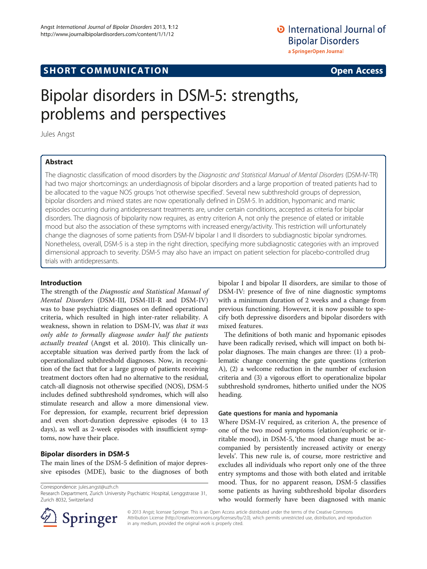# **SHORT COMMUNICATION COMMUNICATION**

# Bipolar disorders in DSM-5: strengths, problems and perspectives

Jules Angst

# Abstract

The diagnostic classification of mood disorders by the Diagnostic and Statistical Manual of Mental Disorders (DSM-IV-TR) had two major shortcomings: an underdiagnosis of bipolar disorders and a large proportion of treated patients had to be allocated to the vague NOS groups 'not otherwise specified'. Several new subthreshold groups of depression, bipolar disorders and mixed states are now operationally defined in DSM-5. In addition, hypomanic and manic episodes occurring during antidepressant treatments are, under certain conditions, accepted as criteria for bipolar disorders. The diagnosis of bipolarity now requires, as entry criterion A, not only the presence of elated or irritable mood but also the association of these symptoms with increased energy/activity. This restriction will unfortunately change the diagnoses of some patients from DSM-IV bipolar I and II disorders to subdiagnostic bipolar syndromes. Nonetheless, overall, DSM-5 is a step in the right direction, specifying more subdiagnostic categories with an improved dimensional approach to severity. DSM-5 may also have an impact on patient selection for placebo-controlled drug trials with antidepressants.

#### Introduction

The strength of the Diagnostic and Statistical Manual of Mental Disorders (DSM-III, DSM-III-R and DSM-IV) was to base psychiatric diagnoses on defined operational criteria, which resulted in high inter-rater reliability. A weakness, shown in relation to DSM-IV, was that it was only able to formally diagnose under half the patients actually treated (Angst et al. [2010\)](#page-2-0). This clinically unacceptable situation was derived partly from the lack of operationalized subthreshold diagnoses. Now, in recognition of the fact that for a large group of patients receiving treatment doctors often had no alternative to the residual, catch-all diagnosis not otherwise specified (NOS), DSM-5 includes defined subthreshold syndromes, which will also stimulate research and allow a more dimensional view. For depression, for example, recurrent brief depression and even short-duration depressive episodes (4 to 13 days), as well as 2-week episodes with insufficient symptoms, now have their place.

#### Bipolar disorders in DSM-5

The main lines of the DSM-5 definition of major depressive episodes (MDE), basic to the diagnoses of both

Correspondence: [jules.angst@uzh.ch](mailto:jules.angst@uzh.ch)



The definitions of both manic and hypomanic episodes have been radically revised, which will impact on both bipolar diagnoses. The main changes are three: (1) a problematic change concerning the gate questions (criterion A), (2) a welcome reduction in the number of exclusion criteria and (3) a vigorous effort to operationalize bipolar subthreshold syndromes, hitherto unified under the NOS heading.

#### Gate questions for mania and hypomania

Where DSM-IV required, as criterion A, the presence of one of the two mood symptoms (elation/euphoric or irritable mood), in DSM-5, 'the mood change must be accompanied by persistently increased activity or energy levels'. This new rule is, of course, more restrictive and excludes all individuals who report only one of the three entry symptoms and those with both elated and irritable mood. Thus, for no apparent reason, DSM-5 classifies some patients as having subthreshold bipolar disorders who would formerly have been diagnosed with manic



© 2013 Angst; licensee Springer. This is an Open Access article distributed under the terms of the Creative Commons Attribution License [\(http://creativecommons.org/licenses/by/2.0\)](http://creativecommons.org/licenses/by/2.0), which permits unrestricted use, distribution, and reproduction in any medium, provided the original work is properly cited.

Research Department, Zurich University Psychiatric Hospital, Lenggstrasse 31, Zurich 8032, Switzerland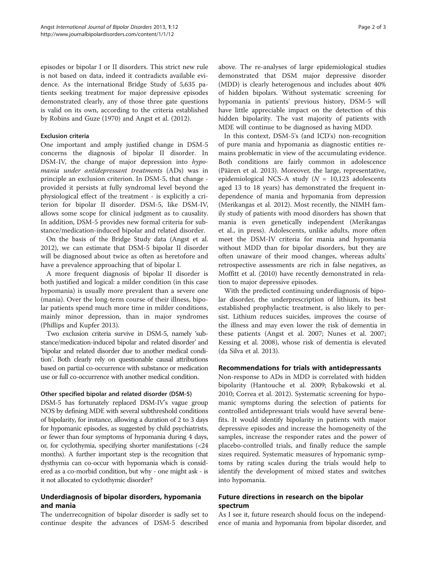episodes or bipolar I or II disorders. This strict new rule is not based on data, indeed it contradicts available evidence. As the international Bridge Study of 5,635 patients seeking treatment for major depressive episodes demonstrated clearly, any of those three gate questions is valid on its own, according to the criteria established by Robins and Guze [\(1970](#page-2-0)) and Angst et al. ([2012](#page-2-0)).

#### Exclusion criteria

One important and amply justified change in DSM-5 concerns the diagnosis of bipolar II disorder. In DSM-IV, the change of major depression into hypomania under antidepressant treatments (ADs) was in principle an exclusion criterion. In DSM-5, that change provided it persists at fully syndromal level beyond the physiological effect of the treatment - is explicitly a criterion for bipolar II disorder. DSM-5, like DSM-IV, allows some scope for clinical judgment as to causality. In addition, DSM-5 provides new formal criteria for substance/medication-induced bipolar and related disorder.

On the basis of the Bridge Study data (Angst et al. [2012](#page-2-0)), we can estimate that DSM-5 bipolar II disorder will be diagnosed about twice as often as heretofore and have a prevalence approaching that of bipolar I.

A more frequent diagnosis of bipolar II disorder is both justified and logical: a milder condition (in this case hypomania) is usually more prevalent than a severe one (mania). Over the long-term course of their illness, bipolar patients spend much more time in milder conditions, mainly minor depression, than in major syndromes (Phillips and Kupfer [2013](#page-2-0)).

Two exclusion criteria survive in DSM-5, namely 'substance/medication-induced bipolar and related disorder' and 'bipolar and related disorder due to another medical condition'. Both clearly rely on questionable causal attributions based on partial co-occurrence with substance or medication use or full co-occurrence with another medical condition.

#### Other specified bipolar and related disorder (DSM-5)

DSM-5 has fortunately replaced DSM-IV's vague group NOS by defining MDE with several subthreshold conditions of bipolarity, for instance, allowing a duration of 2 to 3 days for hypomanic episodes, as suggested by child psychiatrists, or fewer than four symptoms of hypomania during 4 days, or, for cyclothymia, specifying shorter manifestations (<24 months). A further important step is the recognition that dysthymia can co-occur with hypomania which is considered as a co-morbid condition, but why - one might ask - is it not allocated to cyclothymic disorder?

# Underdiagnosis of bipolar disorders, hypomania and mania

The underrecognition of bipolar disorder is sadly set to continue despite the advances of DSM-5 described

above. The re-analyses of large epidemiological studies demonstrated that DSM major depressive disorder (MDD) is clearly heterogenous and includes about 40% of hidden bipolars. Without systematic screening for hypomania in patients' previous history, DSM-5 will have little appreciable impact on the detection of this hidden bipolarity. The vast majority of patients with MDE will continue to be diagnosed as having MDD.

In this context, DSM-5's (and ICD's) non-recognition of pure mania and hypomania as diagnostic entities remains problematic in view of the accumulating evidence. Both conditions are fairly common in adolescence (Päären et al. [2013](#page-2-0)). Moreover, the large, representative, epidemiological NCS-A study ( $N = 10,123$  adolescents aged 13 to 18 years) has demonstrated the frequent independence of mania and hypomania from depression (Merikangas et al. [2012\)](#page-2-0). Most recently, the NIMH family study of patients with mood disorders has shown that mania is even genetically independent (Merikangas et al., [in press](#page-2-0)). Adolescents, unlike adults, more often meet the DSM-IV criteria for mania and hypomania without MDD than for bipolar disorders, but they are often unaware of their mood changes, whereas adults' retrospective assessments are rich in false negatives, as Moffitt et al. [\(2010\)](#page-2-0) have recently demonstrated in relation to major depressive episodes.

With the predicted continuing underdiagnosis of bipolar disorder, the underprescription of lithium, its best established prophylactic treatment, is also likely to persist. Lithium reduces suicides, improves the course of the illness and may even lower the risk of dementia in these patients (Angst et al. [2007](#page-2-0); Nunes et al. [2007](#page-2-0); Kessing et al. [2008](#page-2-0)), whose risk of dementia is elevated (da Silva et al. [2013\)](#page-2-0).

### Recommendations for trials with antidepressants

Non-response to ADs in MDD is correlated with hidden bipolarity (Hantouche et al. [2009](#page-2-0); Rybakowski et al. [2010](#page-2-0); Correa et al. [2012](#page-2-0)). Systematic screening for hypomanic symptoms during the selection of patients for controlled antidepressant trials would have several benefits. It would identify bipolarity in patients with major depressive episodes and increase the homogeneity of the samples, increase the responder rates and the power of placebo-controlled trials, and finally reduce the sample sizes required. Systematic measures of hypomanic symptoms by rating scales during the trials would help to identify the development of mixed states and switches into hypomania.

## Future directions in research on the bipolar spectrum

As I see it, future research should focus on the independence of mania and hypomania from bipolar disorder, and